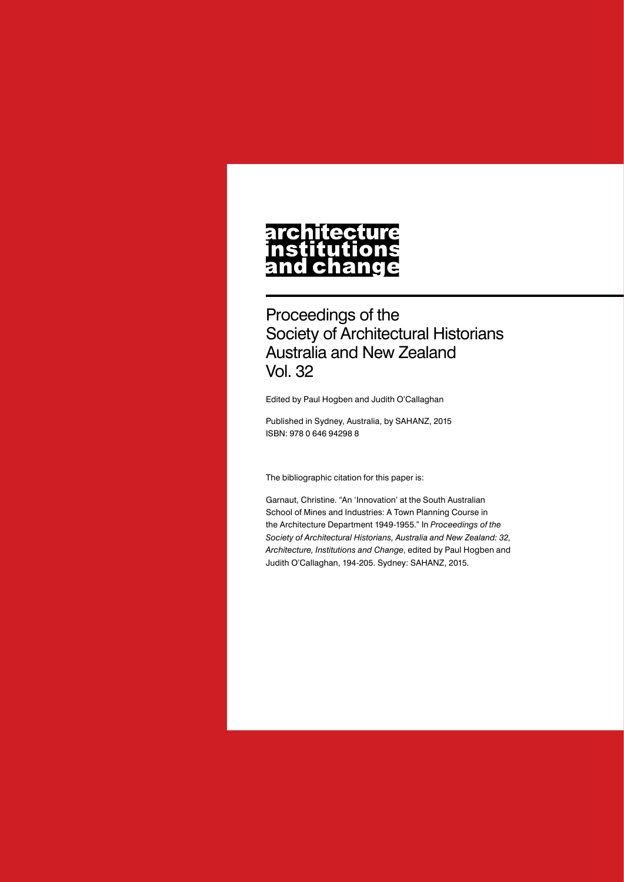# **architecture** nstitutions<br>and change

Proceedings of the Society of Architectural Historians Australia and New Zealand Vol. 32

Edited by Paul Hogben and Judith O'Callaghan

Published in Sydney, Australia, by SAHANZ, 2015 ISBN: 978 0 646 94298 8

The bibliographic citation for this paper is:

Garnaut, Christine. "An 'Innovation' at the South Australian School of Mines and Industries: A Town Planning Course in the Architecture Department 1949-1955." In *Proceedings of the Society of Architectural Historians, Australia and New Zealand: 32, Architecture, Institutions and Change*, edited by Paul Hogben and Judith O'Callaghan, 194-205. Sydney: SAHANZ, 2015.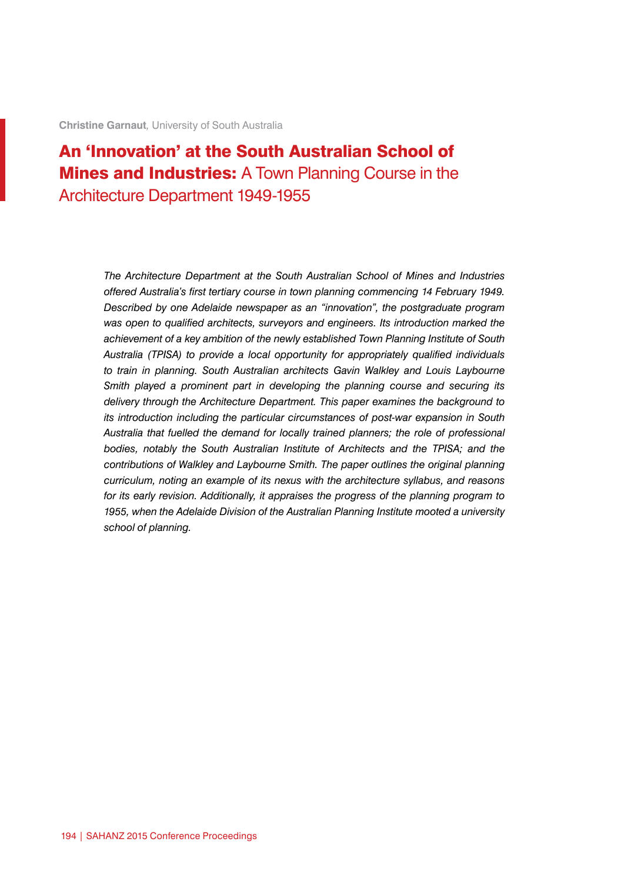**Christine Garnaut***,* University of South Australia

# An 'Innovation' at the South Australian School of Mines and Industries: A Town Planning Course in the Architecture Department 1949-1955

*The Architecture Department at the South Australian School of Mines and Industries offered Australia's first tertiary course in town planning commencing 14 February 1949. Described by one Adelaide newspaper as an "innovation", the postgraduate program was open to qualified architects, surveyors and engineers. Its introduction marked the achievement of a key ambition of the newly established Town Planning Institute of South Australia (TPISA) to provide a local opportunity for appropriately qualified individuals*  to train in planning. South Australian architects Gavin Walkley and Louis Laybourne *Smith played a prominent part in developing the planning course and securing its delivery through the Architecture Department. This paper examines the background to its introduction including the particular circumstances of post-war expansion in South Australia that fuelled the demand for locally trained planners; the role of professional bodies, notably the South Australian Institute of Architects and the TPISA; and the contributions of Walkley and Laybourne Smith. The paper outlines the original planning curriculum, noting an example of its nexus with the architecture syllabus, and reasons for its early revision. Additionally, it appraises the progress of the planning program to 1955, when the Adelaide Division of the Australian Planning Institute mooted a university school of planning.*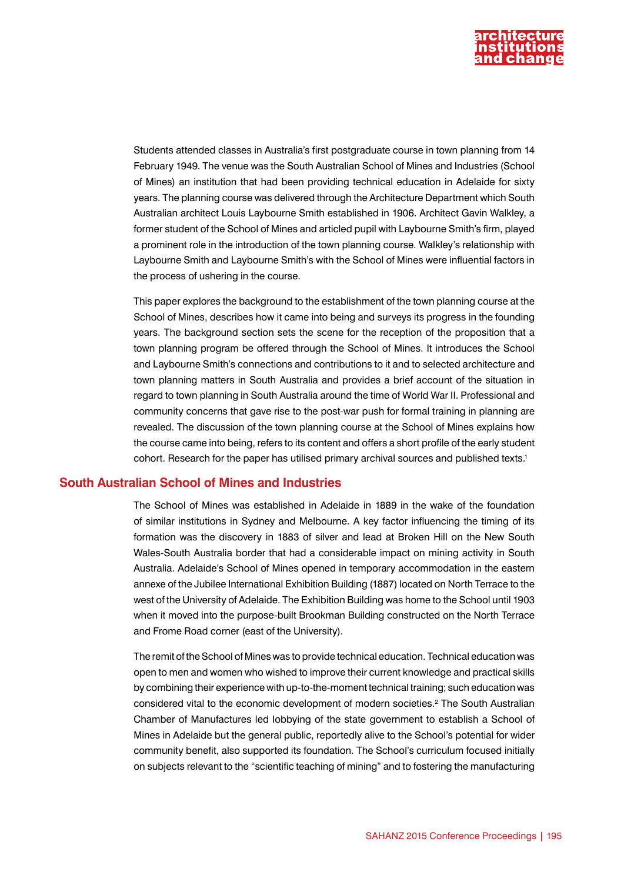

Students attended classes in Australia's first postgraduate course in town planning from 14 February 1949. The venue was the South Australian School of Mines and Industries (School of Mines) an institution that had been providing technical education in Adelaide for sixty years. The planning course was delivered through the Architecture Department which South Australian architect Louis Laybourne Smith established in 1906. Architect Gavin Walkley, a former student of the School of Mines and articled pupil with Laybourne Smith's firm, played a prominent role in the introduction of the town planning course. Walkley's relationship with Laybourne Smith and Laybourne Smith's with the School of Mines were influential factors in the process of ushering in the course.

This paper explores the background to the establishment of the town planning course at the School of Mines, describes how it came into being and surveys its progress in the founding years. The background section sets the scene for the reception of the proposition that a town planning program be offered through the School of Mines. It introduces the School and Laybourne Smith's connections and contributions to it and to selected architecture and town planning matters in South Australia and provides a brief account of the situation in regard to town planning in South Australia around the time of World War II. Professional and community concerns that gave rise to the post-war push for formal training in planning are revealed. The discussion of the town planning course at the School of Mines explains how the course came into being, refers to its content and offers a short profile of the early student cohort. Research for the paper has utilised primary archival sources and published texts.1

# **South Australian School of Mines and Industries**

The School of Mines was established in Adelaide in 1889 in the wake of the foundation of similar institutions in Sydney and Melbourne. A key factor influencing the timing of its formation was the discovery in 1883 of silver and lead at Broken Hill on the New South Wales-South Australia border that had a considerable impact on mining activity in South Australia. Adelaide's School of Mines opened in temporary accommodation in the eastern annexe of the Jubilee International Exhibition Building (1887) located on North Terrace to the west of the University of Adelaide. The Exhibition Building was home to the School until 1903 when it moved into the purpose-built Brookman Building constructed on the North Terrace and Frome Road corner (east of the University).

The remit of the School of Mines was to provide technical education. Technical education was open to men and women who wished to improve their current knowledge and practical skills by combining their experience with up-to-the-moment technical training; such education was considered vital to the economic development of modern societies.<sup>2</sup> The South Australian Chamber of Manufactures led lobbying of the state government to establish a School of Mines in Adelaide but the general public, reportedly alive to the School's potential for wider community benefit, also supported its foundation. The School's curriculum focused initially on subjects relevant to the "scientific teaching of mining" and to fostering the manufacturing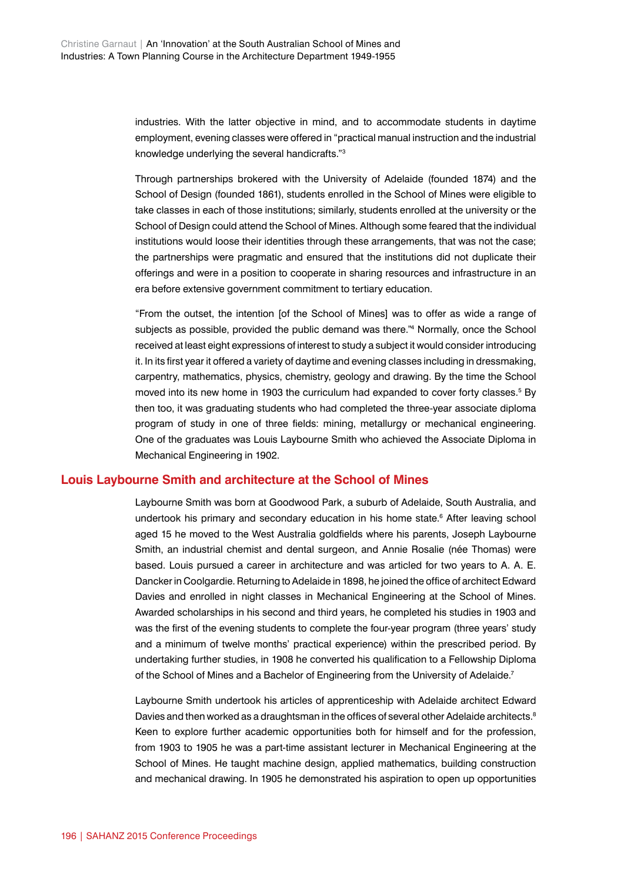industries. With the latter objective in mind, and to accommodate students in daytime employment, evening classes were offered in "practical manual instruction and the industrial knowledge underlying the several handicrafts."3

Through partnerships brokered with the University of Adelaide (founded 1874) and the School of Design (founded 1861), students enrolled in the School of Mines were eligible to take classes in each of those institutions; similarly, students enrolled at the university or the School of Design could attend the School of Mines. Although some feared that the individual institutions would loose their identities through these arrangements, that was not the case; the partnerships were pragmatic and ensured that the institutions did not duplicate their offerings and were in a position to cooperate in sharing resources and infrastructure in an era before extensive government commitment to tertiary education.

"From the outset, the intention [of the School of Mines] was to offer as wide a range of subjects as possible, provided the public demand was there."4 Normally, once the School received at least eight expressions of interest to study a subject it would consider introducing it. In its first year it offered a variety of daytime and evening classes including in dressmaking, carpentry, mathematics, physics, chemistry, geology and drawing. By the time the School moved into its new home in 1903 the curriculum had expanded to cover forty classes.<sup>5</sup> By then too, it was graduating students who had completed the three-year associate diploma program of study in one of three fields: mining, metallurgy or mechanical engineering. One of the graduates was Louis Laybourne Smith who achieved the Associate Diploma in Mechanical Engineering in 1902.

# **Louis Laybourne Smith and architecture at the School of Mines**

Laybourne Smith was born at Goodwood Park, a suburb of Adelaide, South Australia, and undertook his primary and secondary education in his home state.<sup>6</sup> After leaving school aged 15 he moved to the West Australia goldfields where his parents, Joseph Laybourne Smith, an industrial chemist and dental surgeon, and Annie Rosalie (née Thomas) were based. Louis pursued a career in architecture and was articled for two years to A. A. E. Dancker in Coolgardie. Returning to Adelaide in 1898, he joined the office of architect Edward Davies and enrolled in night classes in Mechanical Engineering at the School of Mines. Awarded scholarships in his second and third years, he completed his studies in 1903 and was the first of the evening students to complete the four-year program (three years' study and a minimum of twelve months' practical experience) within the prescribed period. By undertaking further studies, in 1908 he converted his qualification to a Fellowship Diploma of the School of Mines and a Bachelor of Engineering from the University of Adelaide.<sup>7</sup>

Laybourne Smith undertook his articles of apprenticeship with Adelaide architect Edward Davies and then worked as a draughtsman in the offices of several other Adelaide architects.<sup>8</sup> Keen to explore further academic opportunities both for himself and for the profession, from 1903 to 1905 he was a part-time assistant lecturer in Mechanical Engineering at the School of Mines. He taught machine design, applied mathematics, building construction and mechanical drawing. In 1905 he demonstrated his aspiration to open up opportunities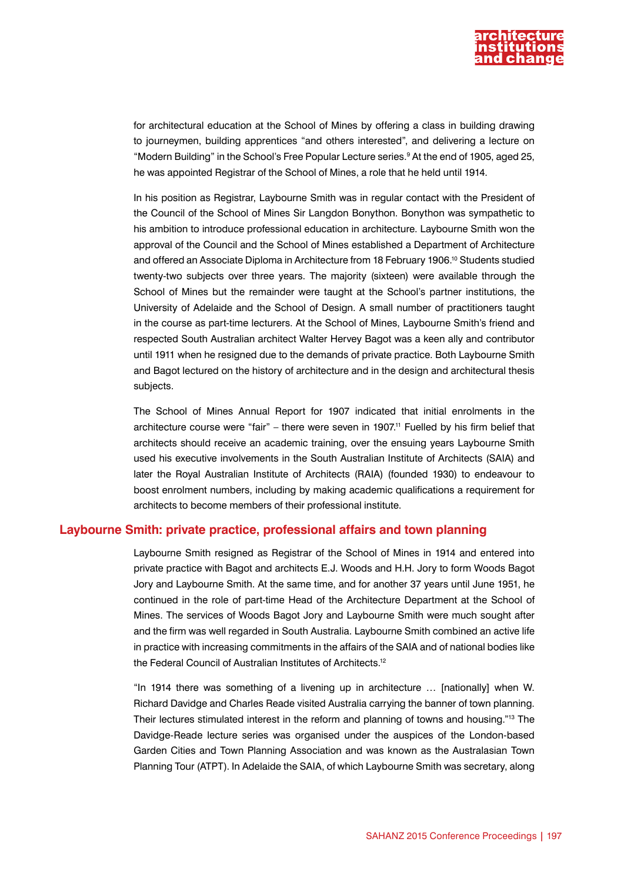

for architectural education at the School of Mines by offering a class in building drawing to journeymen, building apprentices "and others interested", and delivering a lecture on "Modern Building" in the School's Free Popular Lecture series.9 At the end of 1905, aged 25, he was appointed Registrar of the School of Mines, a role that he held until 1914.

In his position as Registrar, Laybourne Smith was in regular contact with the President of the Council of the School of Mines Sir Langdon Bonython. Bonython was sympathetic to his ambition to introduce professional education in architecture. Laybourne Smith won the approval of the Council and the School of Mines established a Department of Architecture and offered an Associate Diploma in Architecture from 18 February 1906.10 Students studied twenty-two subjects over three years. The majority (sixteen) were available through the School of Mines but the remainder were taught at the School's partner institutions, the University of Adelaide and the School of Design. A small number of practitioners taught in the course as part-time lecturers. At the School of Mines, Laybourne Smith's friend and respected South Australian architect Walter Hervey Bagot was a keen ally and contributor until 1911 when he resigned due to the demands of private practice. Both Laybourne Smith and Bagot lectured on the history of architecture and in the design and architectural thesis subjects.

The School of Mines Annual Report for 1907 indicated that initial enrolments in the architecture course were "fair" – there were seven in 1907.<sup>11</sup> Fuelled by his firm belief that architects should receive an academic training, over the ensuing years Laybourne Smith used his executive involvements in the South Australian Institute of Architects (SAIA) and later the Royal Australian Institute of Architects (RAIA) (founded 1930) to endeavour to boost enrolment numbers, including by making academic qualifications a requirement for architects to become members of their professional institute.

#### **Laybourne Smith: private practice, professional affairs and town planning**

Laybourne Smith resigned as Registrar of the School of Mines in 1914 and entered into private practice with Bagot and architects E.J. Woods and H.H. Jory to form Woods Bagot Jory and Laybourne Smith. At the same time, and for another 37 years until June 1951, he continued in the role of part-time Head of the Architecture Department at the School of Mines. The services of Woods Bagot Jory and Laybourne Smith were much sought after and the firm was well regarded in South Australia. Laybourne Smith combined an active life in practice with increasing commitments in the affairs of the SAIA and of national bodies like the Federal Council of Australian Institutes of Architects.12

"In 1914 there was something of a livening up in architecture … [nationally] when W. Richard Davidge and Charles Reade visited Australia carrying the banner of town planning. Their lectures stimulated interest in the reform and planning of towns and housing."13 The Davidge-Reade lecture series was organised under the auspices of the London-based Garden Cities and Town Planning Association and was known as the Australasian Town Planning Tour (ATPT). In Adelaide the SAIA, of which Laybourne Smith was secretary, along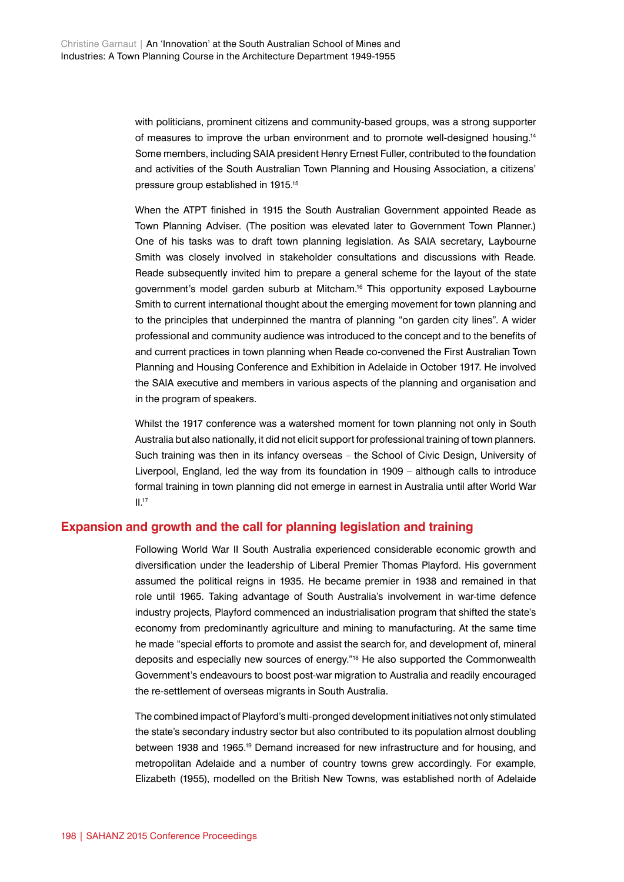with politicians, prominent citizens and community-based groups, was a strong supporter of measures to improve the urban environment and to promote well-designed housing.14 Some members, including SAIA president Henry Ernest Fuller, contributed to the foundation and activities of the South Australian Town Planning and Housing Association, a citizens' pressure group established in 1915.15

When the ATPT finished in 1915 the South Australian Government appointed Reade as Town Planning Adviser. (The position was elevated later to Government Town Planner.) One of his tasks was to draft town planning legislation. As SAIA secretary, Laybourne Smith was closely involved in stakeholder consultations and discussions with Reade. Reade subsequently invited him to prepare a general scheme for the layout of the state government's model garden suburb at Mitcham.16 This opportunity exposed Laybourne Smith to current international thought about the emerging movement for town planning and to the principles that underpinned the mantra of planning "on garden city lines". A wider professional and community audience was introduced to the concept and to the benefits of and current practices in town planning when Reade co-convened the First Australian Town Planning and Housing Conference and Exhibition in Adelaide in October 1917. He involved the SAIA executive and members in various aspects of the planning and organisation and in the program of speakers.

Whilst the 1917 conference was a watershed moment for town planning not only in South Australia but also nationally, it did not elicit support for professional training of town planners. Such training was then in its infancy overseas – the School of Civic Design, University of Liverpool, England, led the way from its foundation in 1909 – although calls to introduce formal training in town planning did not emerge in earnest in Australia until after World War  $II.17$ 

# **Expansion and growth and the call for planning legislation and training**

Following World War II South Australia experienced considerable economic growth and diversification under the leadership of Liberal Premier Thomas Playford. His government assumed the political reigns in 1935. He became premier in 1938 and remained in that role until 1965. Taking advantage of South Australia's involvement in war-time defence industry projects, Playford commenced an industrialisation program that shifted the state's economy from predominantly agriculture and mining to manufacturing. At the same time he made "special efforts to promote and assist the search for, and development of, mineral deposits and especially new sources of energy."18 He also supported the Commonwealth Government's endeavours to boost post-war migration to Australia and readily encouraged the re-settlement of overseas migrants in South Australia.

The combined impact of Playford's multi-pronged development initiatives not only stimulated the state's secondary industry sector but also contributed to its population almost doubling between 1938 and 1965.<sup>19</sup> Demand increased for new infrastructure and for housing, and metropolitan Adelaide and a number of country towns grew accordingly. For example, Elizabeth (1955), modelled on the British New Towns, was established north of Adelaide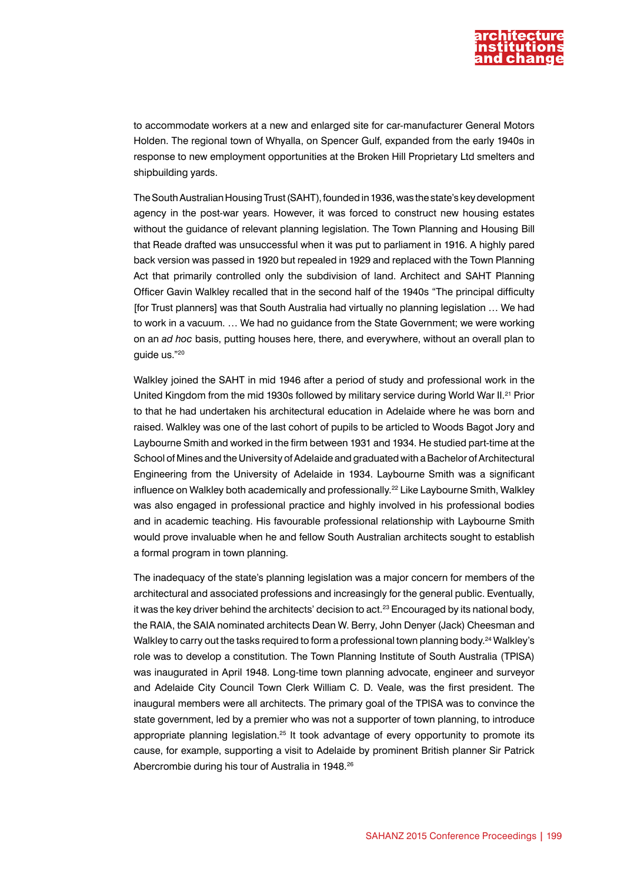

to accommodate workers at a new and enlarged site for car-manufacturer General Motors Holden. The regional town of Whyalla, on Spencer Gulf, expanded from the early 1940s in response to new employment opportunities at the Broken Hill Proprietary Ltd smelters and shipbuilding yards.

The South Australian Housing Trust (SAHT), founded in 1936, was the state's key development agency in the post-war years. However, it was forced to construct new housing estates without the guidance of relevant planning legislation. The Town Planning and Housing Bill that Reade drafted was unsuccessful when it was put to parliament in 1916. A highly pared back version was passed in 1920 but repealed in 1929 and replaced with the Town Planning Act that primarily controlled only the subdivision of land. Architect and SAHT Planning Officer Gavin Walkley recalled that in the second half of the 1940s "The principal difficulty [for Trust planners] was that South Australia had virtually no planning legislation … We had to work in a vacuum. … We had no guidance from the State Government; we were working on an *ad hoc* basis, putting houses here, there, and everywhere, without an overall plan to guide us."20

Walkley joined the SAHT in mid 1946 after a period of study and professional work in the United Kingdom from the mid 1930s followed by military service during World War II.<sup>21</sup> Prior to that he had undertaken his architectural education in Adelaide where he was born and raised. Walkley was one of the last cohort of pupils to be articled to Woods Bagot Jory and Laybourne Smith and worked in the firm between 1931 and 1934. He studied part-time at the School of Mines and the University of Adelaide and graduated with a Bachelor of Architectural Engineering from the University of Adelaide in 1934. Laybourne Smith was a significant influence on Walkley both academically and professionally.22 Like Laybourne Smith, Walkley was also engaged in professional practice and highly involved in his professional bodies and in academic teaching. His favourable professional relationship with Laybourne Smith would prove invaluable when he and fellow South Australian architects sought to establish a formal program in town planning.

The inadequacy of the state's planning legislation was a major concern for members of the architectural and associated professions and increasingly for the general public. Eventually, it was the key driver behind the architects' decision to act.<sup>23</sup> Encouraged by its national body, the RAIA, the SAIA nominated architects Dean W. Berry, John Denyer (Jack) Cheesman and Walkley to carry out the tasks required to form a professional town planning body.<sup>24</sup> Walkley's role was to develop a constitution. The Town Planning Institute of South Australia (TPISA) was inaugurated in April 1948. Long-time town planning advocate, engineer and surveyor and Adelaide City Council Town Clerk William C. D. Veale, was the first president. The inaugural members were all architects. The primary goal of the TPISA was to convince the state government, led by a premier who was not a supporter of town planning, to introduce appropriate planning legislation.<sup>25</sup> It took advantage of every opportunity to promote its cause, for example, supporting a visit to Adelaide by prominent British planner Sir Patrick Abercrombie during his tour of Australia in 1948.<sup>26</sup>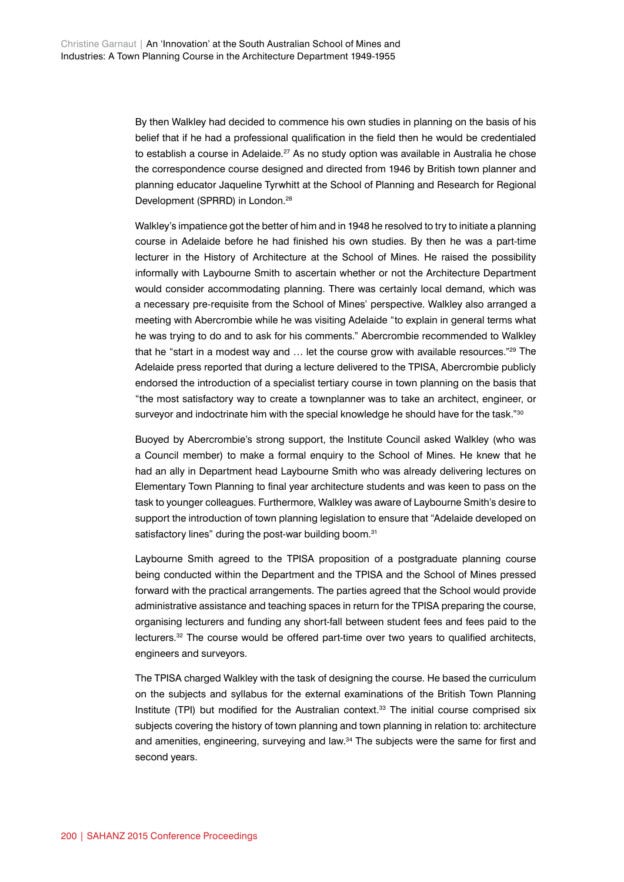By then Walkley had decided to commence his own studies in planning on the basis of his belief that if he had a professional qualification in the field then he would be credentialed to establish a course in Adelaide.<sup>27</sup> As no study option was available in Australia he chose the correspondence course designed and directed from 1946 by British town planner and planning educator Jaqueline Tyrwhitt at the School of Planning and Research for Regional Development (SPRRD) in London.<sup>28</sup>

Walkley's impatience got the better of him and in 1948 he resolved to try to initiate a planning course in Adelaide before he had finished his own studies. By then he was a part-time lecturer in the History of Architecture at the School of Mines. He raised the possibility informally with Laybourne Smith to ascertain whether or not the Architecture Department would consider accommodating planning. There was certainly local demand, which was a necessary pre-requisite from the School of Mines' perspective. Walkley also arranged a meeting with Abercrombie while he was visiting Adelaide "to explain in general terms what he was trying to do and to ask for his comments." Abercrombie recommended to Walkley that he "start in a modest way and ... let the course grow with available resources."<sup>29</sup> The Adelaide press reported that during a lecture delivered to the TPISA, Abercrombie publicly endorsed the introduction of a specialist tertiary course in town planning on the basis that "the most satisfactory way to create a townplanner was to take an architect, engineer, or surveyor and indoctrinate him with the special knowledge he should have for the task."30

Buoyed by Abercrombie's strong support, the Institute Council asked Walkley (who was a Council member) to make a formal enquiry to the School of Mines. He knew that he had an ally in Department head Laybourne Smith who was already delivering lectures on Elementary Town Planning to final year architecture students and was keen to pass on the task to younger colleagues. Furthermore, Walkley was aware of Laybourne Smith's desire to support the introduction of town planning legislation to ensure that "Adelaide developed on satisfactory lines" during the post-war building boom.<sup>31</sup>

Laybourne Smith agreed to the TPISA proposition of a postgraduate planning course being conducted within the Department and the TPISA and the School of Mines pressed forward with the practical arrangements. The parties agreed that the School would provide administrative assistance and teaching spaces in return for the TPISA preparing the course, organising lecturers and funding any short-fall between student fees and fees paid to the lecturers.<sup>32</sup> The course would be offered part-time over two vears to qualified architects, engineers and surveyors.

The TPISA charged Walkley with the task of designing the course. He based the curriculum on the subjects and syllabus for the external examinations of the British Town Planning Institute (TPI) but modified for the Australian context.<sup>33</sup> The initial course comprised six subjects covering the history of town planning and town planning in relation to: architecture and amenities, engineering, surveying and law.<sup>34</sup> The subjects were the same for first and second years.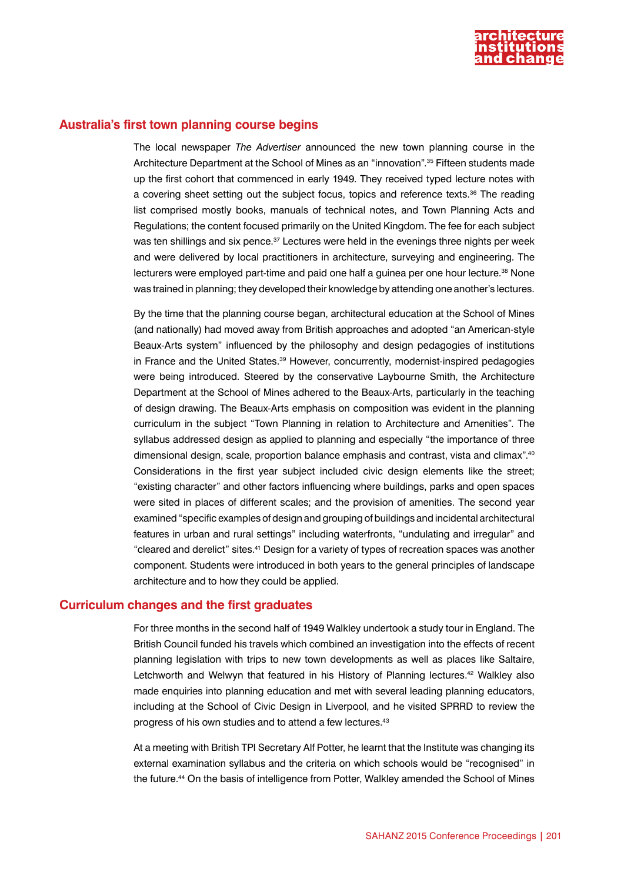

# **Australia's first town planning course begins**

The local newspaper *The Advertiser* announced the new town planning course in the Architecture Department at the School of Mines as an "innovation".35 Fifteen students made up the first cohort that commenced in early 1949. They received typed lecture notes with a covering sheet setting out the subject focus, topics and reference texts.<sup>36</sup> The reading list comprised mostly books, manuals of technical notes, and Town Planning Acts and Regulations; the content focused primarily on the United Kingdom. The fee for each subject was ten shillings and six pence.<sup>37</sup> Lectures were held in the evenings three nights per week and were delivered by local practitioners in architecture, surveying and engineering. The lecturers were employed part-time and paid one half a guinea per one hour lecture.<sup>38</sup> None was trained in planning; they developed their knowledge by attending one another's lectures.

By the time that the planning course began, architectural education at the School of Mines (and nationally) had moved away from British approaches and adopted "an American-style Beaux-Arts system" influenced by the philosophy and design pedagogies of institutions in France and the United States.<sup>39</sup> However, concurrently, modernist-inspired pedagogies were being introduced. Steered by the conservative Laybourne Smith, the Architecture Department at the School of Mines adhered to the Beaux-Arts, particularly in the teaching of design drawing. The Beaux-Arts emphasis on composition was evident in the planning curriculum in the subject "Town Planning in relation to Architecture and Amenities". The syllabus addressed design as applied to planning and especially "the importance of three dimensional design, scale, proportion balance emphasis and contrast, vista and climax".<sup>40</sup> Considerations in the first year subject included civic design elements like the street; "existing character" and other factors influencing where buildings, parks and open spaces were sited in places of different scales; and the provision of amenities. The second year examined "specific examples of design and grouping of buildings and incidental architectural features in urban and rural settings" including waterfronts, "undulating and irregular" and "cleared and derelict" sites.41 Design for a variety of types of recreation spaces was another component. Students were introduced in both years to the general principles of landscape architecture and to how they could be applied.

# **Curriculum changes and the first graduates**

For three months in the second half of 1949 Walkley undertook a study tour in England. The British Council funded his travels which combined an investigation into the effects of recent planning legislation with trips to new town developments as well as places like Saltaire, Letchworth and Welwyn that featured in his History of Planning lectures.<sup>42</sup> Walkley also made enquiries into planning education and met with several leading planning educators, including at the School of Civic Design in Liverpool, and he visited SPRRD to review the progress of his own studies and to attend a few lectures.<sup>43</sup>

At a meeting with British TPI Secretary Alf Potter, he learnt that the Institute was changing its external examination syllabus and the criteria on which schools would be "recognised" in the future.44 On the basis of intelligence from Potter, Walkley amended the School of Mines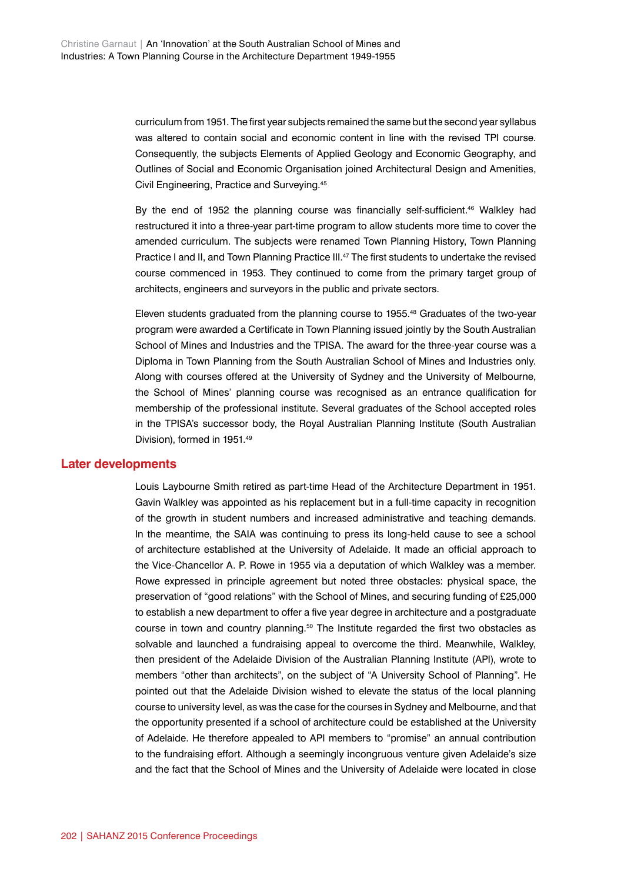curriculum from 1951. The first year subjects remained the same but the second year syllabus was altered to contain social and economic content in line with the revised TPI course. Consequently, the subjects Elements of Applied Geology and Economic Geography, and Outlines of Social and Economic Organisation joined Architectural Design and Amenities, Civil Engineering, Practice and Surveying.45

By the end of 1952 the planning course was financially self-sufficient.<sup>46</sup> Walkley had restructured it into a three-year part-time program to allow students more time to cover the amended curriculum. The subjects were renamed Town Planning History, Town Planning Practice I and II, and Town Planning Practice III.<sup>47</sup> The first students to undertake the revised course commenced in 1953. They continued to come from the primary target group of architects, engineers and surveyors in the public and private sectors.

Eleven students graduated from the planning course to 1955.48 Graduates of the two-year program were awarded a Certificate in Town Planning issued jointly by the South Australian School of Mines and Industries and the TPISA. The award for the three-year course was a Diploma in Town Planning from the South Australian School of Mines and Industries only. Along with courses offered at the University of Sydney and the University of Melbourne, the School of Mines' planning course was recognised as an entrance qualification for membership of the professional institute. Several graduates of the School accepted roles in the TPISA's successor body, the Royal Australian Planning Institute (South Australian Division), formed in 1951.49

# **Later developments**

Louis Laybourne Smith retired as part-time Head of the Architecture Department in 1951. Gavin Walkley was appointed as his replacement but in a full-time capacity in recognition of the growth in student numbers and increased administrative and teaching demands. In the meantime, the SAIA was continuing to press its long-held cause to see a school of architecture established at the University of Adelaide. It made an official approach to the Vice-Chancellor A. P. Rowe in 1955 via a deputation of which Walkley was a member. Rowe expressed in principle agreement but noted three obstacles: physical space, the preservation of "good relations" with the School of Mines, and securing funding of £25,000 to establish a new department to offer a five year degree in architecture and a postgraduate course in town and country planning.<sup>50</sup> The Institute regarded the first two obstacles as solvable and launched a fundraising appeal to overcome the third. Meanwhile, Walkley, then president of the Adelaide Division of the Australian Planning Institute (API), wrote to members "other than architects", on the subject of "A University School of Planning". He pointed out that the Adelaide Division wished to elevate the status of the local planning course to university level, as was the case for the courses in Sydney and Melbourne, and that the opportunity presented if a school of architecture could be established at the University of Adelaide. He therefore appealed to API members to "promise" an annual contribution to the fundraising effort. Although a seemingly incongruous venture given Adelaide's size and the fact that the School of Mines and the University of Adelaide were located in close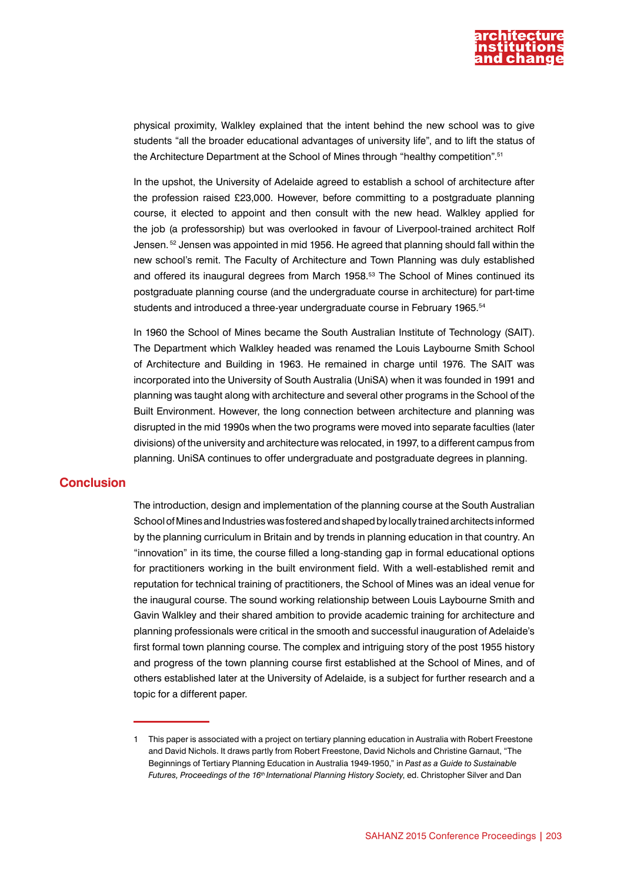

physical proximity, Walkley explained that the intent behind the new school was to give students "all the broader educational advantages of university life", and to lift the status of the Architecture Department at the School of Mines through "healthy competition".<sup>51</sup>

In the upshot, the University of Adelaide agreed to establish a school of architecture after the profession raised £23,000. However, before committing to a postgraduate planning course, it elected to appoint and then consult with the new head. Walkley applied for the job (a professorship) but was overlooked in favour of Liverpool-trained architect Rolf Jensen. 52 Jensen was appointed in mid 1956. He agreed that planning should fall within the new school's remit. The Faculty of Architecture and Town Planning was duly established and offered its inaugural degrees from March 1958.53 The School of Mines continued its postgraduate planning course (and the undergraduate course in architecture) for part-time students and introduced a three-year undergraduate course in February 1965.<sup>54</sup>

In 1960 the School of Mines became the South Australian Institute of Technology (SAIT). The Department which Walkley headed was renamed the Louis Laybourne Smith School of Architecture and Building in 1963. He remained in charge until 1976. The SAIT was incorporated into the University of South Australia (UniSA) when it was founded in 1991 and planning was taught along with architecture and several other programs in the School of the Built Environment. However, the long connection between architecture and planning was disrupted in the mid 1990s when the two programs were moved into separate faculties (later divisions) of the university and architecture was relocated, in 1997, to a different campus from planning. UniSA continues to offer undergraduate and postgraduate degrees in planning.

# **Conclusion**

The introduction, design and implementation of the planning course at the South Australian School of Mines and Industries was fostered and shaped by locally trained architects informed by the planning curriculum in Britain and by trends in planning education in that country. An "innovation" in its time, the course filled a long-standing gap in formal educational options for practitioners working in the built environment field. With a well-established remit and reputation for technical training of practitioners, the School of Mines was an ideal venue for the inaugural course. The sound working relationship between Louis Laybourne Smith and Gavin Walkley and their shared ambition to provide academic training for architecture and planning professionals were critical in the smooth and successful inauguration of Adelaide's first formal town planning course. The complex and intriguing story of the post 1955 history and progress of the town planning course first established at the School of Mines, and of others established later at the University of Adelaide, is a subject for further research and a topic for a different paper.

<sup>1</sup> This paper is associated with a project on tertiary planning education in Australia with Robert Freestone and David Nichols. It draws partly from Robert Freestone, David Nichols and Christine Garnaut, "The Beginnings of Tertiary Planning Education in Australia 1949-1950," in *Past as a Guide to Sustainable Futures, Proceedings of the 16th International Planning History Society*, ed. Christopher Silver and Dan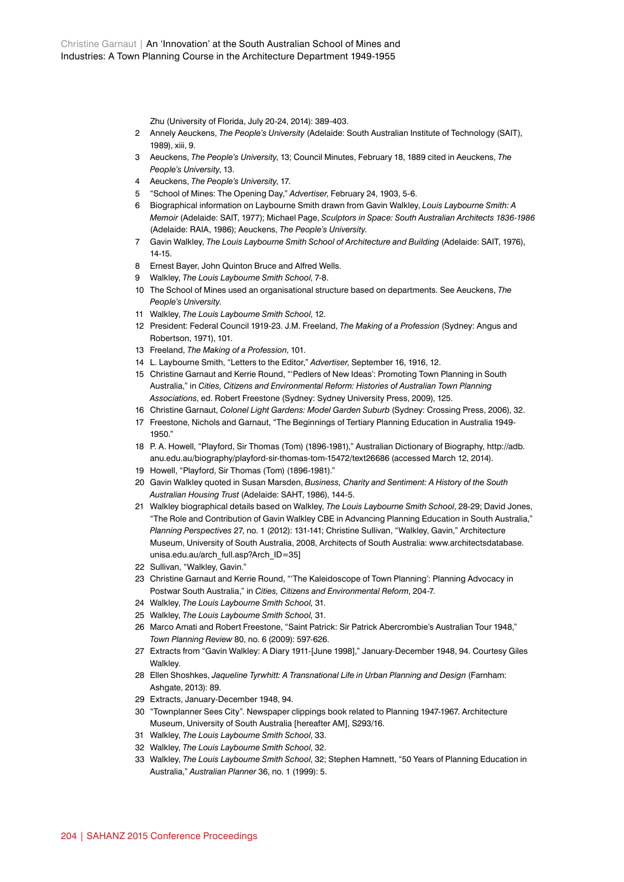Zhu (University of Florida, July 20-24, 2014): 389-403.

- 2 Annely Aeuckens, *The People's University* (Adelaide: South Australian Institute of Technology (SAIT), 1989), xiii, 9.
- 3 Aeuckens, *The People's University*, 13; Council Minutes, February 18, 1889 cited in Aeuckens, *The People's University*, 13.
- 4 Aeuckens, *The People's University*, 17.
- 5 "School of Mines: The Opening Day," *Advertiser*, February 24, 1903, 5-6.
- 6 Biographical information on Laybourne Smith drawn from Gavin Walkley, *Louis Laybourne Smith: A Memoir* (Adelaide: SAIT, 1977); Michael Page, *Sculptors in Space: South Australian Architects 1836-1986* (Adelaide: RAIA, 1986); Aeuckens, *The People's University*.
- 7 Gavin Walkley, *The Louis Laybourne Smith School of Architecture and Building* (Adelaide: SAIT, 1976), 14-15.
- 8 Ernest Bayer, John Quinton Bruce and Alfred Wells.
- 9 Walkley, *The Louis Laybourne Smith School*, 7-8.
- 10 The School of Mines used an organisational structure based on departments. See Aeuckens, *The People's University*.
- 11 Walkley, *The Louis Laybourne Smith School*, 12.
- 12 President: Federal Council 1919-23. J.M. Freeland, *The Making of a Profession* (Sydney: Angus and Robertson, 1971), 101.
- 13 Freeland, *The Making of a Profession*, 101.
- 14 L. Laybourne Smith, "Letters to the Editor," *Advertiser*, September 16, 1916, 12.
- 15 Christine Garnaut and Kerrie Round, "'Pedlers of New Ideas': Promoting Town Planning in South Australia," in *Cities, Citizens and Environmental Reform: Histories of Australian Town Planning Associations*, ed. Robert Freestone (Sydney: Sydney University Press, 2009), 125.
- 16 Christine Garnaut, *Colonel Light Gardens: Model Garden Suburb* (Sydney: Crossing Press, 2006), 32.
- 17 Freestone, Nichols and Garnaut, "The Beginnings of Tertiary Planning Education in Australia 1949- 1950."
- 18 P. A. Howell, "Playford, Sir Thomas (Tom) (1896-1981)," Australian Dictionary of Biography, [http://adb.](http://adb.anu.edu.au/biography/playford-sir-thomas-tom-15472/text26686) [anu.edu.au/biography/playford-sir-thomas-tom-15472/text26686](http://adb.anu.edu.au/biography/playford-sir-thomas-tom-15472/text26686) (accessed March 12, 2014).
- 19 Howell, "Playford, Sir Thomas (Tom) (1896-1981)."
- 20 Gavin Walkley quoted in Susan Marsden, *Business, Charity and Sentiment: A History of the South Australian Housing Trust* (Adelaide: SAHT, 1986), 144-5.
- 21 Walkley biographical details based on Walkley, *The Louis Laybourne Smith School*, 28-29; David Jones, "The Role and Contribution of Gavin Walkley CBE in Advancing Planning Education in South Australia," *Planning Perspectives* 27, no. 1 (2012): 131-141; Christine Sullivan, "Walkley, Gavin," Architecture Museum, University of South Australia, 2008, Architects of South Australia: www.architectsdatabase. unisa.edu.au/arch\_full.asp?Arch\_ID=35]
- 22 Sullivan, "Walkley, Gavin."
- 23 Christine Garnaut and Kerrie Round, "'The Kaleidoscope of Town Planning': Planning Advocacy in Postwar South Australia," in *Cities, Citizens and Environmental Reform*, 204-7.
- 24 Walkley, *The Louis Laybourne Smith School,* 31.
- 25 Walkley, *The Louis Laybourne Smith School,* 31.
- 26 Marco Amati and Robert Freestone, "Saint Patrick: Sir Patrick Abercrombie's Australian Tour 1948," *Town Planning Review* 80, no. 6 (2009): 597-626.
- 27 Extracts from "Gavin Walkley: A Diary 1911-[June 1998]," January-December 1948, 94. Courtesy Giles Walkley.
- 28 Ellen Shoshkes, *Jaqueline Tyrwhitt: A Transnational Life in Urban Planning and Design* (Farnham: Ashgate, 2013): 89.
- 29 Extracts, January-December 1948, 94.
- 30 "Townplanner Sees City". Newspaper clippings book related to Planning 1947-1967. Architecture Museum, University of South Australia [hereafter AM], S293/16.
- 31 Walkley, *The Louis Laybourne Smith School*, 33.
- 32 Walkley, *The Louis Laybourne Smith School*, 32.
- 33 Walkley, *The Louis Laybourne Smith School*, 32; Stephen Hamnett, "50 Years of Planning Education in Australia," *Australian Planner* 36, no. 1 (1999): 5.